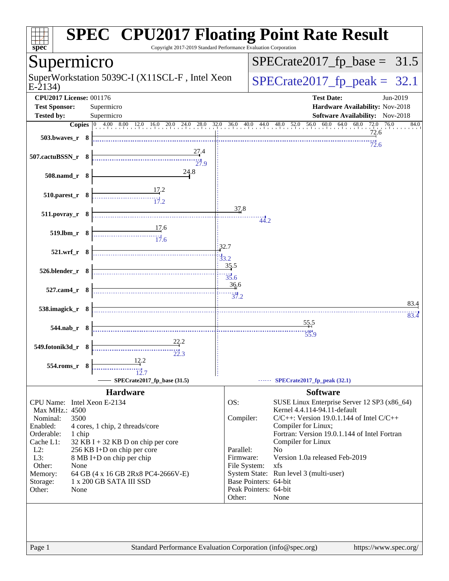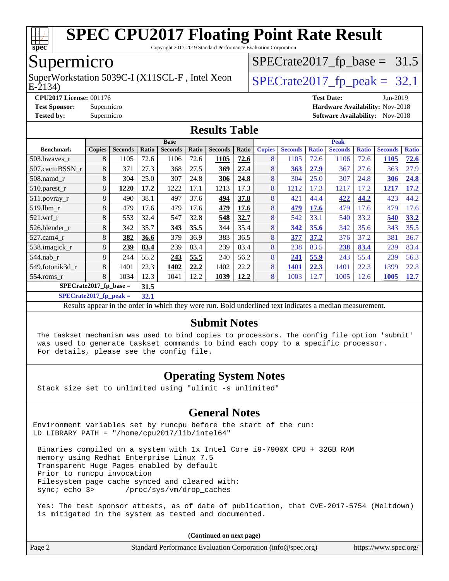

Copyright 2017-2019 Standard Performance Evaluation Corporation

## Supermicro

E-2134) SuperWorkstation 5039C-I (X11SCL-F, Intel Xeon  $\big|$  [SPECrate2017\\_fp\\_peak =](http://www.spec.org/auto/cpu2017/Docs/result-fields.html#SPECrate2017fppeak) 32.1

 $SPECTate2017_fp\_base = 31.5$ 

**[CPU2017 License:](http://www.spec.org/auto/cpu2017/Docs/result-fields.html#CPU2017License)** 001176 **[Test Date:](http://www.spec.org/auto/cpu2017/Docs/result-fields.html#TestDate)** Jun-2019

**[Test Sponsor:](http://www.spec.org/auto/cpu2017/Docs/result-fields.html#TestSponsor)** Supermicro **[Hardware Availability:](http://www.spec.org/auto/cpu2017/Docs/result-fields.html#HardwareAvailability)** Nov-2018

**[Tested by:](http://www.spec.org/auto/cpu2017/Docs/result-fields.html#Testedby)** Supermicro **Supermicro [Software Availability:](http://www.spec.org/auto/cpu2017/Docs/result-fields.html#SoftwareAvailability)** Nov-2018

#### **[Results Table](http://www.spec.org/auto/cpu2017/Docs/result-fields.html#ResultsTable)**

| <b>Base</b>                       |               |                |       |                | <b>Peak</b> |                |       |               |                |              |                |              |                |              |
|-----------------------------------|---------------|----------------|-------|----------------|-------------|----------------|-------|---------------|----------------|--------------|----------------|--------------|----------------|--------------|
| <b>Benchmark</b>                  | <b>Copies</b> | <b>Seconds</b> | Ratio | <b>Seconds</b> | Ratio       | <b>Seconds</b> | Ratio | <b>Copies</b> | <b>Seconds</b> | <b>Ratio</b> | <b>Seconds</b> | <b>Ratio</b> | <b>Seconds</b> | <b>Ratio</b> |
| 503.bwayes r                      | 8             | 1105           | 72.6  | 1106           | 72.6        | 1105           | 72.6  | 8             | 1105           | 72.6         | 1106           | 72.6         | 1105           | 72.6         |
| 507.cactuBSSN r                   | 8             | 371            | 27.3  | 368            | 27.5        | 369            | 27.4  | 8             | 363            | 27.9         | 367            | 27.6         | 363            | 27.9         |
| $508$ .namd $r$                   | 8             | 304            | 25.0  | 307            | 24.8        | 306            | 24.8  | 8             | 304            | 25.0         | 307            | 24.8         | 306            | 24.8         |
| 510.parest_r                      | 8             | 1220           | 17.2  | 1222           | 17.1        | 1213           | 17.3  | 8             | 1212           | 17.3         | 1217           | 17.2         | 1217           | 17.2         |
| 511.povray_r                      | 8             | 490            | 38.1  | 497            | 37.6        | 494            | 37.8  | 8             | 421            | 44.4         | 422            | 44.2         | 423            | 44.2         |
| 519.1bm r                         | 8             | 479            | 17.6  | 479            | 17.6        | 479            | 17.6  | 8             | 479            | 17.6         | 479            | 17.6         | 479            | 17.6         |
| $521$ .wrf r                      | 8             | 553            | 32.4  | 547            | 32.8        | 548            | 32.7  | 8             | 542            | 33.1         | 540            | 33.2         | 540            | 33.2         |
| 526.blender r                     | 8             | 342            | 35.7  | 343            | 35.5        | 344            | 35.4  | 8             | 342            | 35.6         | 342            | 35.6         | 343            | 35.5         |
| $527$ .cam $4 \text{ r}$          | 8             | 382            | 36.6  | 379            | 36.9        | 383            | 36.5  | 8             | 377            | 37.2         | 376            | 37.2         | 381            | 36.7         |
| 538.imagick_r                     | 8             | 239            | 83.4  | 239            | 83.4        | 239            | 83.4  | 8             | 238            | 83.5         | 238            | 83.4         | 239            | 83.4         |
| $544$ .nab r                      | 8             | 244            | 55.2  | 243            | 55.5        | 240            | 56.2  | 8             | 241            | 55.9         | 243            | 55.4         | 239            | 56.3         |
| 549.fotonik3d r                   | 8             | 1401           | 22.3  | 1402           | 22,2        | 1402           | 22.2  | 8             | 1401           | 22.3         | 1401           | 22.3         | 1399           | 22.3         |
| $554$ .roms $r$                   | 8             | 1034           | 12.3  | 1041           | 12.2        | 1039           | 12.2  | 8             | 1003           | 12.7         | 1005           | 12.6         | 1005           | 12.7         |
| $SPECrate2017_fp\_base =$<br>31.5 |               |                |       |                |             |                |       |               |                |              |                |              |                |              |

**[SPECrate2017\\_fp\\_peak =](http://www.spec.org/auto/cpu2017/Docs/result-fields.html#SPECrate2017fppeak) 32.1**

Results appear in the [order in which they were run](http://www.spec.org/auto/cpu2017/Docs/result-fields.html#RunOrder). Bold underlined text [indicates a median measurement](http://www.spec.org/auto/cpu2017/Docs/result-fields.html#Median).

#### **[Submit Notes](http://www.spec.org/auto/cpu2017/Docs/result-fields.html#SubmitNotes)**

 The taskset mechanism was used to bind copies to processors. The config file option 'submit' was used to generate taskset commands to bind each copy to a specific processor. For details, please see the config file.

#### **[Operating System Notes](http://www.spec.org/auto/cpu2017/Docs/result-fields.html#OperatingSystemNotes)**

Stack size set to unlimited using "ulimit -s unlimited"

#### **[General Notes](http://www.spec.org/auto/cpu2017/Docs/result-fields.html#GeneralNotes)**

Environment variables set by runcpu before the start of the run: LD\_LIBRARY\_PATH = "/home/cpu2017/lib/intel64"

 Binaries compiled on a system with 1x Intel Core i9-7900X CPU + 32GB RAM memory using Redhat Enterprise Linux 7.5 Transparent Huge Pages enabled by default Prior to runcpu invocation Filesystem page cache synced and cleared with: sync; echo 3> /proc/sys/vm/drop\_caches

 Yes: The test sponsor attests, as of date of publication, that CVE-2017-5754 (Meltdown) is mitigated in the system as tested and documented.

**(Continued on next page)**

| Page 2 | Standard Performance Evaluation Corporation (info@spec.org) | https://www.spec.org/ |
|--------|-------------------------------------------------------------|-----------------------|
|--------|-------------------------------------------------------------|-----------------------|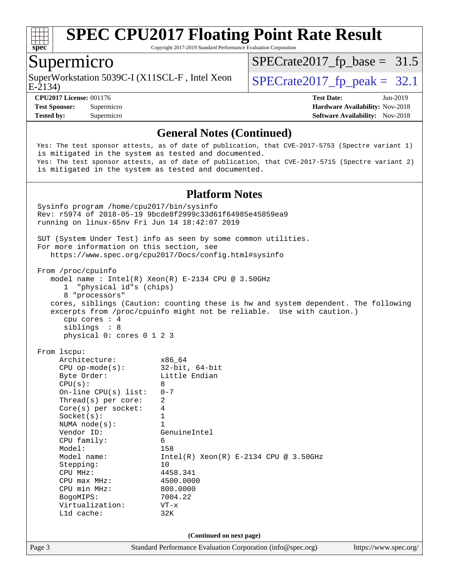

Copyright 2017-2019 Standard Performance Evaluation Corporation

### Supermicro

E-2134) SuperWorkstation 5039C-I (X11SCL-F, Intel Xeon  $\big|$  [SPECrate2017\\_fp\\_peak =](http://www.spec.org/auto/cpu2017/Docs/result-fields.html#SPECrate2017fppeak) 32.1

 $SPECTate2017_fp\_base = 31.5$ 

**[Tested by:](http://www.spec.org/auto/cpu2017/Docs/result-fields.html#Testedby)** Supermicro **[Software Availability:](http://www.spec.org/auto/cpu2017/Docs/result-fields.html#SoftwareAvailability)** Nov-2018

**[CPU2017 License:](http://www.spec.org/auto/cpu2017/Docs/result-fields.html#CPU2017License)** 001176 **[Test Date:](http://www.spec.org/auto/cpu2017/Docs/result-fields.html#TestDate)** Jun-2019 **[Test Sponsor:](http://www.spec.org/auto/cpu2017/Docs/result-fields.html#TestSponsor)** Supermicro **[Hardware Availability:](http://www.spec.org/auto/cpu2017/Docs/result-fields.html#HardwareAvailability)** Nov-2018

#### **[General Notes \(Continued\)](http://www.spec.org/auto/cpu2017/Docs/result-fields.html#GeneralNotes)**

 Yes: The test sponsor attests, as of date of publication, that CVE-2017-5753 (Spectre variant 1) is mitigated in the system as tested and documented. Yes: The test sponsor attests, as of date of publication, that CVE-2017-5715 (Spectre variant 2) is mitigated in the system as tested and documented.

#### **[Platform Notes](http://www.spec.org/auto/cpu2017/Docs/result-fields.html#PlatformNotes)**

Page 3 Standard Performance Evaluation Corporation [\(info@spec.org\)](mailto:info@spec.org) <https://www.spec.org/> Sysinfo program /home/cpu2017/bin/sysinfo Rev: r5974 of 2018-05-19 9bcde8f2999c33d61f64985e45859ea9 running on linux-65nv Fri Jun 14 18:42:07 2019 SUT (System Under Test) info as seen by some common utilities. For more information on this section, see <https://www.spec.org/cpu2017/Docs/config.html#sysinfo> From /proc/cpuinfo model name : Intel(R) Xeon(R) E-2134 CPU @ 3.50GHz 1 "physical id"s (chips) 8 "processors" cores, siblings (Caution: counting these is hw and system dependent. The following excerpts from /proc/cpuinfo might not be reliable. Use with caution.) cpu cores : 4 siblings : 8 physical 0: cores 0 1 2 3 From lscpu: Architecture: x86\_64 CPU op-mode(s): 32-bit, 64-bit Byte Order: Little Endian  $CPU(s):$  8 On-line CPU(s) list: 0-7 Thread(s) per core: 2 Core(s) per socket: 4  $Sockets(s):$  1 NUMA node(s): 1 Vendor ID: GenuineIntel CPU family: 6 Model: 158 Model name: Intel(R) Xeon(R) E-2134 CPU @ 3.50GHz Stepping: 10 CPU MHz: 4458.341<br>
CPU max MHz: 4500.0000  $CPU$  max  $MHz$ : CPU min MHz: 800.0000 BogoMIPS: 7004.22 Virtualization: VT-x L1d cache: 32K **(Continued on next page)**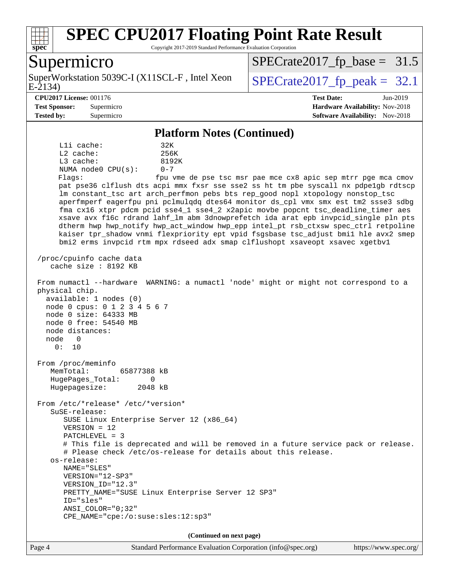

Copyright 2017-2019 Standard Performance Evaluation Corporation

#### Supermicro

E-2134) SuperWorkstation 5039C-I (X11SCL-F, Intel Xeon  $\big|$  [SPECrate2017\\_fp\\_peak =](http://www.spec.org/auto/cpu2017/Docs/result-fields.html#SPECrate2017fppeak) 32.1

 $SPECTate2017_fp\_base = 31.5$ 

**[Test Sponsor:](http://www.spec.org/auto/cpu2017/Docs/result-fields.html#TestSponsor)** Supermicro **[Hardware Availability:](http://www.spec.org/auto/cpu2017/Docs/result-fields.html#HardwareAvailability)** Nov-2018 **[Tested by:](http://www.spec.org/auto/cpu2017/Docs/result-fields.html#Testedby)** Supermicro **Supermicro [Software Availability:](http://www.spec.org/auto/cpu2017/Docs/result-fields.html#SoftwareAvailability)** Nov-2018

**[CPU2017 License:](http://www.spec.org/auto/cpu2017/Docs/result-fields.html#CPU2017License)** 001176 **[Test Date:](http://www.spec.org/auto/cpu2017/Docs/result-fields.html#TestDate)** Jun-2019

#### **[Platform Notes \(Continued\)](http://www.spec.org/auto/cpu2017/Docs/result-fields.html#PlatformNotes)**

L1i cache: 32K L2 cache: 256K L3 cache: 8192K NUMA node0 CPU(s): 0-7 Flags: fpu vme de pse tsc msr pae mce cx8 apic sep mtrr pge mca cmov

 pat pse36 clflush dts acpi mmx fxsr sse sse2 ss ht tm pbe syscall nx pdpe1gb rdtscp lm constant\_tsc art arch\_perfmon pebs bts rep\_good nopl xtopology nonstop\_tsc aperfmperf eagerfpu pni pclmulqdq dtes64 monitor ds\_cpl vmx smx est tm2 ssse3 sdbg fma cx16 xtpr pdcm pcid sse4\_1 sse4\_2 x2apic movbe popcnt tsc\_deadline\_timer aes xsave avx f16c rdrand lahf\_lm abm 3dnowprefetch ida arat epb invpcid\_single pln pts dtherm hwp hwp\_notify hwp\_act\_window hwp\_epp intel\_pt rsb\_ctxsw spec\_ctrl retpoline kaiser tpr\_shadow vnmi flexpriority ept vpid fsgsbase tsc\_adjust bmi1 hle avx2 smep bmi2 erms invpcid rtm mpx rdseed adx smap clflushopt xsaveopt xsavec xgetbv1

 /proc/cpuinfo cache data cache size : 8192 KB

#### From numactl --hardware WARNING: a numactl 'node' might or might not correspond to a physical chip.

 available: 1 nodes (0) node 0 cpus: 0 1 2 3 4 5 6 7 node 0 size: 64333 MB node 0 free: 54540 MB node distances: node 0

 From /proc/meminfo MemTotal: 65877388 kB HugePages\_Total: 0 Hugepagesize: 2048 kB

From /etc/\*release\* /etc/\*version\*

 SuSE-release: SUSE Linux Enterprise Server 12 (x86\_64)

VERSION = 12

0: 10

PATCHLEVEL = 3

 # This file is deprecated and will be removed in a future service pack or release. # Please check /etc/os-release for details about this release.

 os-release: NAME="SLES"

 VERSION="12-SP3" VERSION\_ID="12.3"

ANSI\_COLOR="0;32"

```
 PRETTY_NAME="SUSE Linux Enterprise Server 12 SP3"
 ID="sles"
```
CPE\_NAME="cpe:/o:suse:sles:12:sp3"

**(Continued on next page)**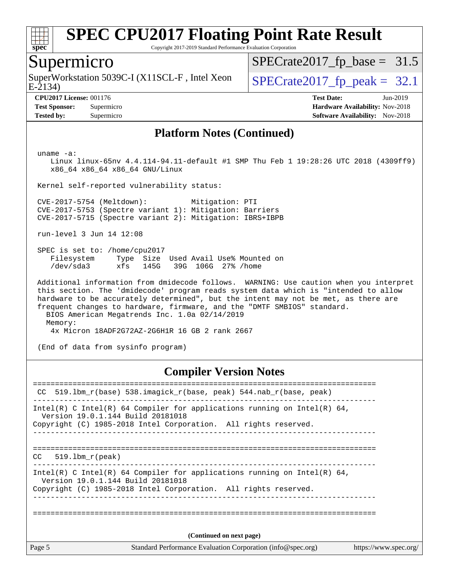

Copyright 2017-2019 Standard Performance Evaluation Corporation

#### Supermicro

SuperWorkstation 5039C-I (X11SCL-F, Intel Xeon  $\big|$  [SPECrate2017\\_fp\\_peak =](http://www.spec.org/auto/cpu2017/Docs/result-fields.html#SPECrate2017fppeak) 32.1

 $SPECTate2017_fp\_base = 31.5$ 

E-2134)

**[Tested by:](http://www.spec.org/auto/cpu2017/Docs/result-fields.html#Testedby)** Supermicro [Software Availability:](http://www.spec.org/auto/cpu2017/Docs/result-fields.html#SoftwareAvailability) Nov-2018

**[CPU2017 License:](http://www.spec.org/auto/cpu2017/Docs/result-fields.html#CPU2017License)** 001176 **[Test Date:](http://www.spec.org/auto/cpu2017/Docs/result-fields.html#TestDate)** Jun-2019

**[Test Sponsor:](http://www.spec.org/auto/cpu2017/Docs/result-fields.html#TestSponsor)** Supermicro **[Hardware Availability:](http://www.spec.org/auto/cpu2017/Docs/result-fields.html#HardwareAvailability)** Nov-2018

#### **[Platform Notes \(Continued\)](http://www.spec.org/auto/cpu2017/Docs/result-fields.html#PlatformNotes)**

uname -a:

 Linux linux-65nv 4.4.114-94.11-default #1 SMP Thu Feb 1 19:28:26 UTC 2018 (4309ff9) x86\_64 x86\_64 x86\_64 GNU/Linux

Kernel self-reported vulnerability status:

 CVE-2017-5754 (Meltdown): Mitigation: PTI CVE-2017-5753 (Spectre variant 1): Mitigation: Barriers CVE-2017-5715 (Spectre variant 2): Mitigation: IBRS+IBPB

run-level 3 Jun 14 12:08

 SPEC is set to: /home/cpu2017 Filesystem Type Size Used Avail Use% Mounted on /dev/sda3 xfs 145G 39G 106G 27% /home

 Additional information from dmidecode follows. WARNING: Use caution when you interpret this section. The 'dmidecode' program reads system data which is "intended to allow hardware to be accurately determined", but the intent may not be met, as there are frequent changes to hardware, firmware, and the "DMTF SMBIOS" standard. BIOS American Megatrends Inc. 1.0a 02/14/2019 Memory: 4x Micron 18ADF2G72AZ-2G6H1R 16 GB 2 rank 2667

(End of data from sysinfo program)

#### **[Compiler Version Notes](http://www.spec.org/auto/cpu2017/Docs/result-fields.html#CompilerVersionNotes)**

Page 5 Standard Performance Evaluation Corporation [\(info@spec.org\)](mailto:info@spec.org) <https://www.spec.org/> ============================================================================== CC 519.lbm\_r(base) 538.imagick\_r(base, peak) 544.nab\_r(base, peak) ------------------------------------------------------------------------------ Intel(R) C Intel(R) 64 Compiler for applications running on Intel(R)  $64$ , Version 19.0.1.144 Build 20181018 Copyright (C) 1985-2018 Intel Corporation. All rights reserved. ------------------------------------------------------------------------------ ============================================================================== CC 519.lbm\_r(peak) ------------------------------------------------------------------------------ Intel(R) C Intel(R) 64 Compiler for applications running on Intel(R)  $64$ , Version 19.0.1.144 Build 20181018 Copyright (C) 1985-2018 Intel Corporation. All rights reserved. ------------------------------------------------------------------------------ ============================================================================== **(Continued on next page)**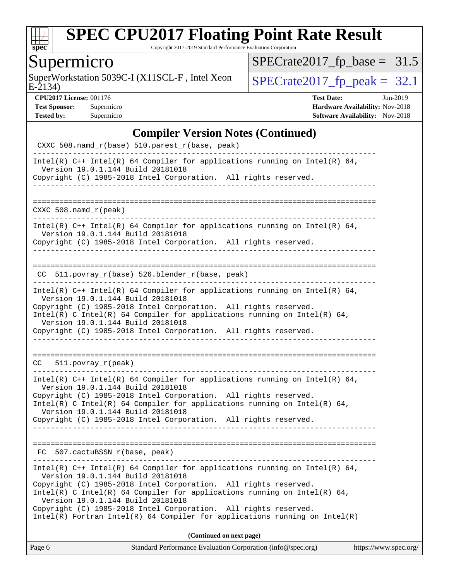

Copyright 2017-2019 Standard Performance Evaluation Corporation

## Supermicro

 $E-2134$ SuperWorkstation 5039C-I (X11SCL-F, Intel Xeon  $SPECrate2017_fp\_peak = 32.1$ 

 $SPECrate2017_fp\_base = 31.5$ 

**[CPU2017 License:](http://www.spec.org/auto/cpu2017/Docs/result-fields.html#CPU2017License)** 001176 **[Test Date:](http://www.spec.org/auto/cpu2017/Docs/result-fields.html#TestDate)** Jun-2019 **[Test Sponsor:](http://www.spec.org/auto/cpu2017/Docs/result-fields.html#TestSponsor)** Supermicro **[Hardware Availability:](http://www.spec.org/auto/cpu2017/Docs/result-fields.html#HardwareAvailability)** Nov-2018 **[Tested by:](http://www.spec.org/auto/cpu2017/Docs/result-fields.html#Testedby)** Supermicro **Supermicro [Software Availability:](http://www.spec.org/auto/cpu2017/Docs/result-fields.html#SoftwareAvailability)** Nov-2018

#### **[Compiler Version Notes \(Continued\)](http://www.spec.org/auto/cpu2017/Docs/result-fields.html#CompilerVersionNotes)**

| Standard Performance Evaluation Corporation (info@spec.org)<br>Page 6                                                                                                                                                                                                                                                                                                                                                                                  | https://www.spec.org/ |
|--------------------------------------------------------------------------------------------------------------------------------------------------------------------------------------------------------------------------------------------------------------------------------------------------------------------------------------------------------------------------------------------------------------------------------------------------------|-----------------------|
| (Continued on next page)                                                                                                                                                                                                                                                                                                                                                                                                                               |                       |
| Intel(R) C++ Intel(R) 64 Compiler for applications running on Intel(R) 64,<br>Version 19.0.1.144 Build 20181018<br>Copyright (C) 1985-2018 Intel Corporation. All rights reserved.<br>Intel(R) C Intel(R) 64 Compiler for applications running on Intel(R) 64,<br>Version 19.0.1.144 Build 20181018<br>Copyright (C) 1985-2018 Intel Corporation. All rights reserved.<br>$Intel(R)$ Fortran Intel(R) 64 Compiler for applications running on Intel(R) |                       |
| FC 507.cactuBSSN_r(base, peak)                                                                                                                                                                                                                                                                                                                                                                                                                         |                       |
| Copyright (C) 1985-2018 Intel Corporation. All rights reserved.                                                                                                                                                                                                                                                                                                                                                                                        |                       |
| Intel(R) $C++$ Intel(R) 64 Compiler for applications running on Intel(R) 64,<br>Version 19.0.1.144 Build 20181018<br>Copyright (C) 1985-2018 Intel Corporation. All rights reserved.<br>Intel(R) C Intel(R) 64 Compiler for applications running on Intel(R) 64,<br>Version 19.0.1.144 Build 20181018                                                                                                                                                  |                       |
| CC 511.povray_r(peak)                                                                                                                                                                                                                                                                                                                                                                                                                                  |                       |
| Copyright (C) 1985-2018 Intel Corporation. All rights reserved.                                                                                                                                                                                                                                                                                                                                                                                        |                       |
| Copyright (C) 1985-2018 Intel Corporation. All rights reserved.<br>Intel(R) C Intel(R) 64 Compiler for applications running on Intel(R) 64,<br>Version 19.0.1.144 Build 20181018                                                                                                                                                                                                                                                                       |                       |
| Intel(R) $C++$ Intel(R) 64 Compiler for applications running on Intel(R) 64,<br>Version 19.0.1.144 Build 20181018                                                                                                                                                                                                                                                                                                                                      |                       |
| CC 511.povray_r(base) 526.blender_r(base, peak)                                                                                                                                                                                                                                                                                                                                                                                                        |                       |
| Intel(R) $C++$ Intel(R) 64 Compiler for applications running on Intel(R) 64,<br>Version 19.0.1.144 Build 20181018<br>Copyright (C) 1985-2018 Intel Corporation. All rights reserved.                                                                                                                                                                                                                                                                   |                       |
| $CXXC 508.namd_r (peak)$                                                                                                                                                                                                                                                                                                                                                                                                                               |                       |
| _______________                                                                                                                                                                                                                                                                                                                                                                                                                                        |                       |
| Intel(R) $C++$ Intel(R) 64 Compiler for applications running on Intel(R) 64,<br>Version 19.0.1.144 Build 20181018<br>Copyright (C) 1985-2018 Intel Corporation. All rights reserved.                                                                                                                                                                                                                                                                   |                       |
| CXXC 508.namd_r(base) 510.parest_r(base, peak)                                                                                                                                                                                                                                                                                                                                                                                                         |                       |
|                                                                                                                                                                                                                                                                                                                                                                                                                                                        |                       |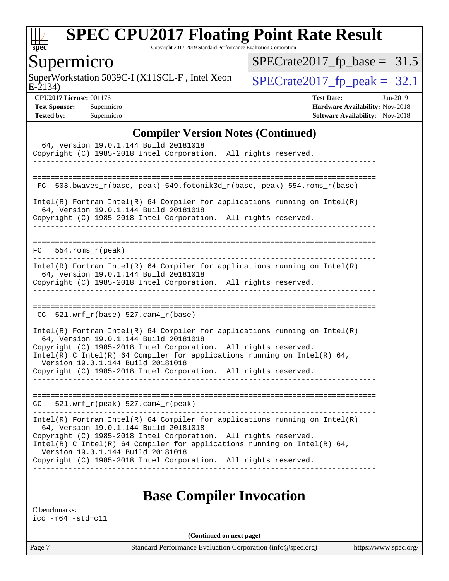

Copyright 2017-2019 Standard Performance Evaluation Corporation

## Supermicro

E-2134) SuperWorkstation 5039C-I (X11SCL-F, Intel Xeon  $SPECrate2017_fp\_peak = 32.1$ 

[SPECrate2017\\_fp\\_base =](http://www.spec.org/auto/cpu2017/Docs/result-fields.html#SPECrate2017fpbase) 31.5

**[CPU2017 License:](http://www.spec.org/auto/cpu2017/Docs/result-fields.html#CPU2017License)** 001176 **[Test Date:](http://www.spec.org/auto/cpu2017/Docs/result-fields.html#TestDate)** Jun-2019 **[Test Sponsor:](http://www.spec.org/auto/cpu2017/Docs/result-fields.html#TestSponsor)** Supermicro **[Hardware Availability:](http://www.spec.org/auto/cpu2017/Docs/result-fields.html#HardwareAvailability)** Nov-2018 **[Tested by:](http://www.spec.org/auto/cpu2017/Docs/result-fields.html#Testedby)** Supermicro **Supermicro [Software Availability:](http://www.spec.org/auto/cpu2017/Docs/result-fields.html#SoftwareAvailability)** Nov-2018

#### **[Compiler Version Notes \(Continued\)](http://www.spec.org/auto/cpu2017/Docs/result-fields.html#CompilerVersionNotes)**

| 64, Version 19.0.1.144 Build 20181018<br>Copyright (C) 1985-2018 Intel Corporation. All rights reserved.                                                                                                                                                                                                                                                                     |
|------------------------------------------------------------------------------------------------------------------------------------------------------------------------------------------------------------------------------------------------------------------------------------------------------------------------------------------------------------------------------|
| 503.bwaves_r(base, peak) 549.fotonik3d_r(base, peak) 554.roms_r(base)<br>FC.                                                                                                                                                                                                                                                                                                 |
| Intel(R) Fortran Intel(R) 64 Compiler for applications running on Intel(R)<br>64, Version 19.0.1.144 Build 20181018<br>Copyright (C) 1985-2018 Intel Corporation. All rights reserved.                                                                                                                                                                                       |
| $554.$ roms r(peak)<br>FC                                                                                                                                                                                                                                                                                                                                                    |
| $Intel(R)$ Fortran Intel(R) 64 Compiler for applications running on Intel(R)<br>64, Version 19.0.1.144 Build 20181018<br>Copyright (C) 1985-2018 Intel Corporation. All rights reserved.                                                                                                                                                                                     |
| $CC$ 521.wrf_r(base) 527.cam4_r(base)                                                                                                                                                                                                                                                                                                                                        |
| $Intel(R)$ Fortran Intel(R) 64 Compiler for applications running on Intel(R)<br>64, Version 19.0.1.144 Build 20181018<br>Copyright (C) 1985-2018 Intel Corporation. All rights reserved.<br>Intel(R) C Intel(R) 64 Compiler for applications running on Intel(R) 64,<br>Version 19.0.1.144 Build 20181018<br>Copyright (C) 1985-2018 Intel Corporation. All rights reserved. |
| 521.wrf $r(\text{peak})$ 527.cam4 $r(\text{peak})$<br>CC.                                                                                                                                                                                                                                                                                                                    |
| $Intel(R)$ Fortran Intel(R) 64 Compiler for applications running on Intel(R)<br>64, Version 19.0.1.144 Build 20181018<br>Copyright (C) 1985-2018 Intel Corporation. All rights reserved.<br>Intel(R) C Intel(R) 64 Compiler for applications running on Intel(R) 64,<br>Version 19.0.1.144 Build 20181018<br>Copyright (C) 1985-2018 Intel Corporation. All rights reserved. |

## **[Base Compiler Invocation](http://www.spec.org/auto/cpu2017/Docs/result-fields.html#BaseCompilerInvocation)**

[C benchmarks:](http://www.spec.org/auto/cpu2017/Docs/result-fields.html#Cbenchmarks) [icc -m64 -std=c11](http://www.spec.org/cpu2017/results/res2019q3/cpu2017-20190625-15867.flags.html#user_CCbase_intel_icc_64bit_c11_33ee0cdaae7deeeab2a9725423ba97205ce30f63b9926c2519791662299b76a0318f32ddfffdc46587804de3178b4f9328c46fa7c2b0cd779d7a61945c91cd35)

**(Continued on next page)**

Page 7 Standard Performance Evaluation Corporation [\(info@spec.org\)](mailto:info@spec.org) <https://www.spec.org/>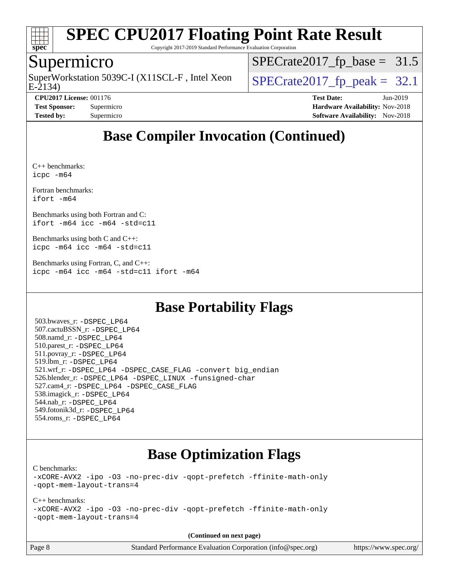

Copyright 2017-2019 Standard Performance Evaluation Corporation

## Supermicro

E-2134) SuperWorkstation 5039C-I (X11SCL-F, Intel Xeon  $\big|$  [SPECrate2017\\_fp\\_peak =](http://www.spec.org/auto/cpu2017/Docs/result-fields.html#SPECrate2017fppeak) 32.1

 $SPECTate2017_fp\_base = 31.5$ 

**[Test Sponsor:](http://www.spec.org/auto/cpu2017/Docs/result-fields.html#TestSponsor)** Supermicro **[Hardware Availability:](http://www.spec.org/auto/cpu2017/Docs/result-fields.html#HardwareAvailability)** Nov-2018 **[Tested by:](http://www.spec.org/auto/cpu2017/Docs/result-fields.html#Testedby)** Supermicro **[Software Availability:](http://www.spec.org/auto/cpu2017/Docs/result-fields.html#SoftwareAvailability)** Nov-2018

**[CPU2017 License:](http://www.spec.org/auto/cpu2017/Docs/result-fields.html#CPU2017License)** 001176 **[Test Date:](http://www.spec.org/auto/cpu2017/Docs/result-fields.html#TestDate)** Jun-2019

## **[Base Compiler Invocation \(Continued\)](http://www.spec.org/auto/cpu2017/Docs/result-fields.html#BaseCompilerInvocation)**

[C++ benchmarks](http://www.spec.org/auto/cpu2017/Docs/result-fields.html#CXXbenchmarks): [icpc -m64](http://www.spec.org/cpu2017/results/res2019q3/cpu2017-20190625-15867.flags.html#user_CXXbase_intel_icpc_64bit_4ecb2543ae3f1412ef961e0650ca070fec7b7afdcd6ed48761b84423119d1bf6bdf5cad15b44d48e7256388bc77273b966e5eb805aefd121eb22e9299b2ec9d9)

[Fortran benchmarks](http://www.spec.org/auto/cpu2017/Docs/result-fields.html#Fortranbenchmarks): [ifort -m64](http://www.spec.org/cpu2017/results/res2019q3/cpu2017-20190625-15867.flags.html#user_FCbase_intel_ifort_64bit_24f2bb282fbaeffd6157abe4f878425411749daecae9a33200eee2bee2fe76f3b89351d69a8130dd5949958ce389cf37ff59a95e7a40d588e8d3a57e0c3fd751)

[Benchmarks using both Fortran and C:](http://www.spec.org/auto/cpu2017/Docs/result-fields.html#BenchmarksusingbothFortranandC) [ifort -m64](http://www.spec.org/cpu2017/results/res2019q3/cpu2017-20190625-15867.flags.html#user_CC_FCbase_intel_ifort_64bit_24f2bb282fbaeffd6157abe4f878425411749daecae9a33200eee2bee2fe76f3b89351d69a8130dd5949958ce389cf37ff59a95e7a40d588e8d3a57e0c3fd751) [icc -m64 -std=c11](http://www.spec.org/cpu2017/results/res2019q3/cpu2017-20190625-15867.flags.html#user_CC_FCbase_intel_icc_64bit_c11_33ee0cdaae7deeeab2a9725423ba97205ce30f63b9926c2519791662299b76a0318f32ddfffdc46587804de3178b4f9328c46fa7c2b0cd779d7a61945c91cd35)

[Benchmarks using both C and C++](http://www.spec.org/auto/cpu2017/Docs/result-fields.html#BenchmarksusingbothCandCXX): [icpc -m64](http://www.spec.org/cpu2017/results/res2019q3/cpu2017-20190625-15867.flags.html#user_CC_CXXbase_intel_icpc_64bit_4ecb2543ae3f1412ef961e0650ca070fec7b7afdcd6ed48761b84423119d1bf6bdf5cad15b44d48e7256388bc77273b966e5eb805aefd121eb22e9299b2ec9d9) [icc -m64 -std=c11](http://www.spec.org/cpu2017/results/res2019q3/cpu2017-20190625-15867.flags.html#user_CC_CXXbase_intel_icc_64bit_c11_33ee0cdaae7deeeab2a9725423ba97205ce30f63b9926c2519791662299b76a0318f32ddfffdc46587804de3178b4f9328c46fa7c2b0cd779d7a61945c91cd35)

[Benchmarks using Fortran, C, and C++:](http://www.spec.org/auto/cpu2017/Docs/result-fields.html#BenchmarksusingFortranCandCXX) [icpc -m64](http://www.spec.org/cpu2017/results/res2019q3/cpu2017-20190625-15867.flags.html#user_CC_CXX_FCbase_intel_icpc_64bit_4ecb2543ae3f1412ef961e0650ca070fec7b7afdcd6ed48761b84423119d1bf6bdf5cad15b44d48e7256388bc77273b966e5eb805aefd121eb22e9299b2ec9d9) [icc -m64 -std=c11](http://www.spec.org/cpu2017/results/res2019q3/cpu2017-20190625-15867.flags.html#user_CC_CXX_FCbase_intel_icc_64bit_c11_33ee0cdaae7deeeab2a9725423ba97205ce30f63b9926c2519791662299b76a0318f32ddfffdc46587804de3178b4f9328c46fa7c2b0cd779d7a61945c91cd35) [ifort -m64](http://www.spec.org/cpu2017/results/res2019q3/cpu2017-20190625-15867.flags.html#user_CC_CXX_FCbase_intel_ifort_64bit_24f2bb282fbaeffd6157abe4f878425411749daecae9a33200eee2bee2fe76f3b89351d69a8130dd5949958ce389cf37ff59a95e7a40d588e8d3a57e0c3fd751)

## **[Base Portability Flags](http://www.spec.org/auto/cpu2017/Docs/result-fields.html#BasePortabilityFlags)**

 503.bwaves\_r: [-DSPEC\\_LP64](http://www.spec.org/cpu2017/results/res2019q3/cpu2017-20190625-15867.flags.html#suite_basePORTABILITY503_bwaves_r_DSPEC_LP64) 507.cactuBSSN\_r: [-DSPEC\\_LP64](http://www.spec.org/cpu2017/results/res2019q3/cpu2017-20190625-15867.flags.html#suite_basePORTABILITY507_cactuBSSN_r_DSPEC_LP64) 508.namd\_r: [-DSPEC\\_LP64](http://www.spec.org/cpu2017/results/res2019q3/cpu2017-20190625-15867.flags.html#suite_basePORTABILITY508_namd_r_DSPEC_LP64) 510.parest\_r: [-DSPEC\\_LP64](http://www.spec.org/cpu2017/results/res2019q3/cpu2017-20190625-15867.flags.html#suite_basePORTABILITY510_parest_r_DSPEC_LP64) 511.povray\_r: [-DSPEC\\_LP64](http://www.spec.org/cpu2017/results/res2019q3/cpu2017-20190625-15867.flags.html#suite_basePORTABILITY511_povray_r_DSPEC_LP64) 519.lbm\_r: [-DSPEC\\_LP64](http://www.spec.org/cpu2017/results/res2019q3/cpu2017-20190625-15867.flags.html#suite_basePORTABILITY519_lbm_r_DSPEC_LP64) 521.wrf\_r: [-DSPEC\\_LP64](http://www.spec.org/cpu2017/results/res2019q3/cpu2017-20190625-15867.flags.html#suite_basePORTABILITY521_wrf_r_DSPEC_LP64) [-DSPEC\\_CASE\\_FLAG](http://www.spec.org/cpu2017/results/res2019q3/cpu2017-20190625-15867.flags.html#b521.wrf_r_baseCPORTABILITY_DSPEC_CASE_FLAG) [-convert big\\_endian](http://www.spec.org/cpu2017/results/res2019q3/cpu2017-20190625-15867.flags.html#user_baseFPORTABILITY521_wrf_r_convert_big_endian_c3194028bc08c63ac5d04de18c48ce6d347e4e562e8892b8bdbdc0214820426deb8554edfa529a3fb25a586e65a3d812c835984020483e7e73212c4d31a38223) 526.blender\_r: [-DSPEC\\_LP64](http://www.spec.org/cpu2017/results/res2019q3/cpu2017-20190625-15867.flags.html#suite_basePORTABILITY526_blender_r_DSPEC_LP64) [-DSPEC\\_LINUX](http://www.spec.org/cpu2017/results/res2019q3/cpu2017-20190625-15867.flags.html#b526.blender_r_baseCPORTABILITY_DSPEC_LINUX) [-funsigned-char](http://www.spec.org/cpu2017/results/res2019q3/cpu2017-20190625-15867.flags.html#user_baseCPORTABILITY526_blender_r_force_uchar_40c60f00ab013830e2dd6774aeded3ff59883ba5a1fc5fc14077f794d777847726e2a5858cbc7672e36e1b067e7e5c1d9a74f7176df07886a243d7cc18edfe67) 527.cam4\_r: [-DSPEC\\_LP64](http://www.spec.org/cpu2017/results/res2019q3/cpu2017-20190625-15867.flags.html#suite_basePORTABILITY527_cam4_r_DSPEC_LP64) [-DSPEC\\_CASE\\_FLAG](http://www.spec.org/cpu2017/results/res2019q3/cpu2017-20190625-15867.flags.html#b527.cam4_r_baseCPORTABILITY_DSPEC_CASE_FLAG) 538.imagick\_r: [-DSPEC\\_LP64](http://www.spec.org/cpu2017/results/res2019q3/cpu2017-20190625-15867.flags.html#suite_basePORTABILITY538_imagick_r_DSPEC_LP64) 544.nab\_r: [-DSPEC\\_LP64](http://www.spec.org/cpu2017/results/res2019q3/cpu2017-20190625-15867.flags.html#suite_basePORTABILITY544_nab_r_DSPEC_LP64) 549.fotonik3d\_r: [-DSPEC\\_LP64](http://www.spec.org/cpu2017/results/res2019q3/cpu2017-20190625-15867.flags.html#suite_basePORTABILITY549_fotonik3d_r_DSPEC_LP64) 554.roms\_r: [-DSPEC\\_LP64](http://www.spec.org/cpu2017/results/res2019q3/cpu2017-20190625-15867.flags.html#suite_basePORTABILITY554_roms_r_DSPEC_LP64)

## **[Base Optimization Flags](http://www.spec.org/auto/cpu2017/Docs/result-fields.html#BaseOptimizationFlags)**

[C benchmarks](http://www.spec.org/auto/cpu2017/Docs/result-fields.html#Cbenchmarks):

[-xCORE-AVX2](http://www.spec.org/cpu2017/results/res2019q3/cpu2017-20190625-15867.flags.html#user_CCbase_f-xCORE-AVX2) [-ipo](http://www.spec.org/cpu2017/results/res2019q3/cpu2017-20190625-15867.flags.html#user_CCbase_f-ipo) [-O3](http://www.spec.org/cpu2017/results/res2019q3/cpu2017-20190625-15867.flags.html#user_CCbase_f-O3) [-no-prec-div](http://www.spec.org/cpu2017/results/res2019q3/cpu2017-20190625-15867.flags.html#user_CCbase_f-no-prec-div) [-qopt-prefetch](http://www.spec.org/cpu2017/results/res2019q3/cpu2017-20190625-15867.flags.html#user_CCbase_f-qopt-prefetch) [-ffinite-math-only](http://www.spec.org/cpu2017/results/res2019q3/cpu2017-20190625-15867.flags.html#user_CCbase_f_finite_math_only_cb91587bd2077682c4b38af759c288ed7c732db004271a9512da14a4f8007909a5f1427ecbf1a0fb78ff2a814402c6114ac565ca162485bbcae155b5e4258871) [-qopt-mem-layout-trans=4](http://www.spec.org/cpu2017/results/res2019q3/cpu2017-20190625-15867.flags.html#user_CCbase_f-qopt-mem-layout-trans_fa39e755916c150a61361b7846f310bcdf6f04e385ef281cadf3647acec3f0ae266d1a1d22d972a7087a248fd4e6ca390a3634700869573d231a252c784941a8)

#### [C++ benchmarks:](http://www.spec.org/auto/cpu2017/Docs/result-fields.html#CXXbenchmarks)

[-xCORE-AVX2](http://www.spec.org/cpu2017/results/res2019q3/cpu2017-20190625-15867.flags.html#user_CXXbase_f-xCORE-AVX2) [-ipo](http://www.spec.org/cpu2017/results/res2019q3/cpu2017-20190625-15867.flags.html#user_CXXbase_f-ipo) [-O3](http://www.spec.org/cpu2017/results/res2019q3/cpu2017-20190625-15867.flags.html#user_CXXbase_f-O3) [-no-prec-div](http://www.spec.org/cpu2017/results/res2019q3/cpu2017-20190625-15867.flags.html#user_CXXbase_f-no-prec-div) [-qopt-prefetch](http://www.spec.org/cpu2017/results/res2019q3/cpu2017-20190625-15867.flags.html#user_CXXbase_f-qopt-prefetch) [-ffinite-math-only](http://www.spec.org/cpu2017/results/res2019q3/cpu2017-20190625-15867.flags.html#user_CXXbase_f_finite_math_only_cb91587bd2077682c4b38af759c288ed7c732db004271a9512da14a4f8007909a5f1427ecbf1a0fb78ff2a814402c6114ac565ca162485bbcae155b5e4258871) [-qopt-mem-layout-trans=4](http://www.spec.org/cpu2017/results/res2019q3/cpu2017-20190625-15867.flags.html#user_CXXbase_f-qopt-mem-layout-trans_fa39e755916c150a61361b7846f310bcdf6f04e385ef281cadf3647acec3f0ae266d1a1d22d972a7087a248fd4e6ca390a3634700869573d231a252c784941a8)

**(Continued on next page)**

Page 8 Standard Performance Evaluation Corporation [\(info@spec.org\)](mailto:info@spec.org) <https://www.spec.org/>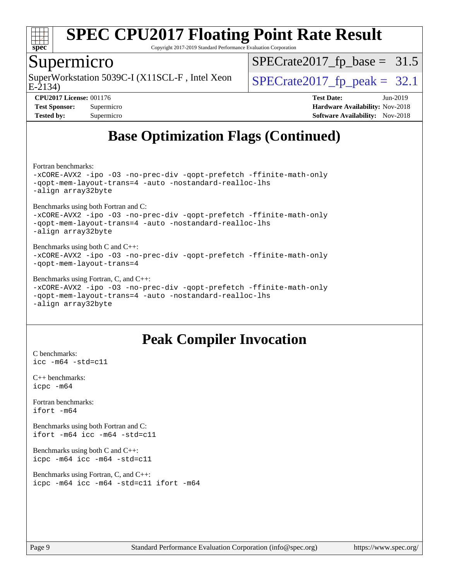

Copyright 2017-2019 Standard Performance Evaluation Corporation

### Supermicro

E-2134) SuperWorkstation 5039C-I (X11SCL-F, Intel Xeon  $\big|$  [SPECrate2017\\_fp\\_peak =](http://www.spec.org/auto/cpu2017/Docs/result-fields.html#SPECrate2017fppeak) 32.1

 $SPECTate2017_fp\_base = 31.5$ 

**[CPU2017 License:](http://www.spec.org/auto/cpu2017/Docs/result-fields.html#CPU2017License)** 001176 **[Test Date:](http://www.spec.org/auto/cpu2017/Docs/result-fields.html#TestDate)** Jun-2019 **[Test Sponsor:](http://www.spec.org/auto/cpu2017/Docs/result-fields.html#TestSponsor)** Supermicro **[Hardware Availability:](http://www.spec.org/auto/cpu2017/Docs/result-fields.html#HardwareAvailability)** Nov-2018 **[Tested by:](http://www.spec.org/auto/cpu2017/Docs/result-fields.html#Testedby)** Supermicro **Supermicro [Software Availability:](http://www.spec.org/auto/cpu2017/Docs/result-fields.html#SoftwareAvailability)** Nov-2018

## **[Base Optimization Flags \(Continued\)](http://www.spec.org/auto/cpu2017/Docs/result-fields.html#BaseOptimizationFlags)**

[Fortran benchmarks](http://www.spec.org/auto/cpu2017/Docs/result-fields.html#Fortranbenchmarks):

[-xCORE-AVX2](http://www.spec.org/cpu2017/results/res2019q3/cpu2017-20190625-15867.flags.html#user_FCbase_f-xCORE-AVX2) [-ipo](http://www.spec.org/cpu2017/results/res2019q3/cpu2017-20190625-15867.flags.html#user_FCbase_f-ipo) [-O3](http://www.spec.org/cpu2017/results/res2019q3/cpu2017-20190625-15867.flags.html#user_FCbase_f-O3) [-no-prec-div](http://www.spec.org/cpu2017/results/res2019q3/cpu2017-20190625-15867.flags.html#user_FCbase_f-no-prec-div) [-qopt-prefetch](http://www.spec.org/cpu2017/results/res2019q3/cpu2017-20190625-15867.flags.html#user_FCbase_f-qopt-prefetch) [-ffinite-math-only](http://www.spec.org/cpu2017/results/res2019q3/cpu2017-20190625-15867.flags.html#user_FCbase_f_finite_math_only_cb91587bd2077682c4b38af759c288ed7c732db004271a9512da14a4f8007909a5f1427ecbf1a0fb78ff2a814402c6114ac565ca162485bbcae155b5e4258871) [-qopt-mem-layout-trans=4](http://www.spec.org/cpu2017/results/res2019q3/cpu2017-20190625-15867.flags.html#user_FCbase_f-qopt-mem-layout-trans_fa39e755916c150a61361b7846f310bcdf6f04e385ef281cadf3647acec3f0ae266d1a1d22d972a7087a248fd4e6ca390a3634700869573d231a252c784941a8) [-auto](http://www.spec.org/cpu2017/results/res2019q3/cpu2017-20190625-15867.flags.html#user_FCbase_f-auto) [-nostandard-realloc-lhs](http://www.spec.org/cpu2017/results/res2019q3/cpu2017-20190625-15867.flags.html#user_FCbase_f_2003_std_realloc_82b4557e90729c0f113870c07e44d33d6f5a304b4f63d4c15d2d0f1fab99f5daaed73bdb9275d9ae411527f28b936061aa8b9c8f2d63842963b95c9dd6426b8a) [-align array32byte](http://www.spec.org/cpu2017/results/res2019q3/cpu2017-20190625-15867.flags.html#user_FCbase_align_array32byte_b982fe038af199962ba9a80c053b8342c548c85b40b8e86eb3cc33dee0d7986a4af373ac2d51c3f7cf710a18d62fdce2948f201cd044323541f22fc0fffc51b6)

[Benchmarks using both Fortran and C](http://www.spec.org/auto/cpu2017/Docs/result-fields.html#BenchmarksusingbothFortranandC): [-xCORE-AVX2](http://www.spec.org/cpu2017/results/res2019q3/cpu2017-20190625-15867.flags.html#user_CC_FCbase_f-xCORE-AVX2) [-ipo](http://www.spec.org/cpu2017/results/res2019q3/cpu2017-20190625-15867.flags.html#user_CC_FCbase_f-ipo) [-O3](http://www.spec.org/cpu2017/results/res2019q3/cpu2017-20190625-15867.flags.html#user_CC_FCbase_f-O3) [-no-prec-div](http://www.spec.org/cpu2017/results/res2019q3/cpu2017-20190625-15867.flags.html#user_CC_FCbase_f-no-prec-div) [-qopt-prefetch](http://www.spec.org/cpu2017/results/res2019q3/cpu2017-20190625-15867.flags.html#user_CC_FCbase_f-qopt-prefetch) [-ffinite-math-only](http://www.spec.org/cpu2017/results/res2019q3/cpu2017-20190625-15867.flags.html#user_CC_FCbase_f_finite_math_only_cb91587bd2077682c4b38af759c288ed7c732db004271a9512da14a4f8007909a5f1427ecbf1a0fb78ff2a814402c6114ac565ca162485bbcae155b5e4258871) [-qopt-mem-layout-trans=4](http://www.spec.org/cpu2017/results/res2019q3/cpu2017-20190625-15867.flags.html#user_CC_FCbase_f-qopt-mem-layout-trans_fa39e755916c150a61361b7846f310bcdf6f04e385ef281cadf3647acec3f0ae266d1a1d22d972a7087a248fd4e6ca390a3634700869573d231a252c784941a8) [-auto](http://www.spec.org/cpu2017/results/res2019q3/cpu2017-20190625-15867.flags.html#user_CC_FCbase_f-auto) [-nostandard-realloc-lhs](http://www.spec.org/cpu2017/results/res2019q3/cpu2017-20190625-15867.flags.html#user_CC_FCbase_f_2003_std_realloc_82b4557e90729c0f113870c07e44d33d6f5a304b4f63d4c15d2d0f1fab99f5daaed73bdb9275d9ae411527f28b936061aa8b9c8f2d63842963b95c9dd6426b8a)

[-align array32byte](http://www.spec.org/cpu2017/results/res2019q3/cpu2017-20190625-15867.flags.html#user_CC_FCbase_align_array32byte_b982fe038af199962ba9a80c053b8342c548c85b40b8e86eb3cc33dee0d7986a4af373ac2d51c3f7cf710a18d62fdce2948f201cd044323541f22fc0fffc51b6)

#### [Benchmarks using both C and C++](http://www.spec.org/auto/cpu2017/Docs/result-fields.html#BenchmarksusingbothCandCXX): [-xCORE-AVX2](http://www.spec.org/cpu2017/results/res2019q3/cpu2017-20190625-15867.flags.html#user_CC_CXXbase_f-xCORE-AVX2) [-ipo](http://www.spec.org/cpu2017/results/res2019q3/cpu2017-20190625-15867.flags.html#user_CC_CXXbase_f-ipo) [-O3](http://www.spec.org/cpu2017/results/res2019q3/cpu2017-20190625-15867.flags.html#user_CC_CXXbase_f-O3) [-no-prec-div](http://www.spec.org/cpu2017/results/res2019q3/cpu2017-20190625-15867.flags.html#user_CC_CXXbase_f-no-prec-div) [-qopt-prefetch](http://www.spec.org/cpu2017/results/res2019q3/cpu2017-20190625-15867.flags.html#user_CC_CXXbase_f-qopt-prefetch) [-ffinite-math-only](http://www.spec.org/cpu2017/results/res2019q3/cpu2017-20190625-15867.flags.html#user_CC_CXXbase_f_finite_math_only_cb91587bd2077682c4b38af759c288ed7c732db004271a9512da14a4f8007909a5f1427ecbf1a0fb78ff2a814402c6114ac565ca162485bbcae155b5e4258871) [-qopt-mem-layout-trans=4](http://www.spec.org/cpu2017/results/res2019q3/cpu2017-20190625-15867.flags.html#user_CC_CXXbase_f-qopt-mem-layout-trans_fa39e755916c150a61361b7846f310bcdf6f04e385ef281cadf3647acec3f0ae266d1a1d22d972a7087a248fd4e6ca390a3634700869573d231a252c784941a8)

#### [Benchmarks using Fortran, C, and C++:](http://www.spec.org/auto/cpu2017/Docs/result-fields.html#BenchmarksusingFortranCandCXX)

[-xCORE-AVX2](http://www.spec.org/cpu2017/results/res2019q3/cpu2017-20190625-15867.flags.html#user_CC_CXX_FCbase_f-xCORE-AVX2) [-ipo](http://www.spec.org/cpu2017/results/res2019q3/cpu2017-20190625-15867.flags.html#user_CC_CXX_FCbase_f-ipo) [-O3](http://www.spec.org/cpu2017/results/res2019q3/cpu2017-20190625-15867.flags.html#user_CC_CXX_FCbase_f-O3) [-no-prec-div](http://www.spec.org/cpu2017/results/res2019q3/cpu2017-20190625-15867.flags.html#user_CC_CXX_FCbase_f-no-prec-div) [-qopt-prefetch](http://www.spec.org/cpu2017/results/res2019q3/cpu2017-20190625-15867.flags.html#user_CC_CXX_FCbase_f-qopt-prefetch) [-ffinite-math-only](http://www.spec.org/cpu2017/results/res2019q3/cpu2017-20190625-15867.flags.html#user_CC_CXX_FCbase_f_finite_math_only_cb91587bd2077682c4b38af759c288ed7c732db004271a9512da14a4f8007909a5f1427ecbf1a0fb78ff2a814402c6114ac565ca162485bbcae155b5e4258871) [-qopt-mem-layout-trans=4](http://www.spec.org/cpu2017/results/res2019q3/cpu2017-20190625-15867.flags.html#user_CC_CXX_FCbase_f-qopt-mem-layout-trans_fa39e755916c150a61361b7846f310bcdf6f04e385ef281cadf3647acec3f0ae266d1a1d22d972a7087a248fd4e6ca390a3634700869573d231a252c784941a8) [-auto](http://www.spec.org/cpu2017/results/res2019q3/cpu2017-20190625-15867.flags.html#user_CC_CXX_FCbase_f-auto) [-nostandard-realloc-lhs](http://www.spec.org/cpu2017/results/res2019q3/cpu2017-20190625-15867.flags.html#user_CC_CXX_FCbase_f_2003_std_realloc_82b4557e90729c0f113870c07e44d33d6f5a304b4f63d4c15d2d0f1fab99f5daaed73bdb9275d9ae411527f28b936061aa8b9c8f2d63842963b95c9dd6426b8a) [-align array32byte](http://www.spec.org/cpu2017/results/res2019q3/cpu2017-20190625-15867.flags.html#user_CC_CXX_FCbase_align_array32byte_b982fe038af199962ba9a80c053b8342c548c85b40b8e86eb3cc33dee0d7986a4af373ac2d51c3f7cf710a18d62fdce2948f201cd044323541f22fc0fffc51b6)

## **[Peak Compiler Invocation](http://www.spec.org/auto/cpu2017/Docs/result-fields.html#PeakCompilerInvocation)**

[C benchmarks](http://www.spec.org/auto/cpu2017/Docs/result-fields.html#Cbenchmarks): [icc -m64 -std=c11](http://www.spec.org/cpu2017/results/res2019q3/cpu2017-20190625-15867.flags.html#user_CCpeak_intel_icc_64bit_c11_33ee0cdaae7deeeab2a9725423ba97205ce30f63b9926c2519791662299b76a0318f32ddfffdc46587804de3178b4f9328c46fa7c2b0cd779d7a61945c91cd35)

[C++ benchmarks:](http://www.spec.org/auto/cpu2017/Docs/result-fields.html#CXXbenchmarks) [icpc -m64](http://www.spec.org/cpu2017/results/res2019q3/cpu2017-20190625-15867.flags.html#user_CXXpeak_intel_icpc_64bit_4ecb2543ae3f1412ef961e0650ca070fec7b7afdcd6ed48761b84423119d1bf6bdf5cad15b44d48e7256388bc77273b966e5eb805aefd121eb22e9299b2ec9d9)

[Fortran benchmarks](http://www.spec.org/auto/cpu2017/Docs/result-fields.html#Fortranbenchmarks): [ifort -m64](http://www.spec.org/cpu2017/results/res2019q3/cpu2017-20190625-15867.flags.html#user_FCpeak_intel_ifort_64bit_24f2bb282fbaeffd6157abe4f878425411749daecae9a33200eee2bee2fe76f3b89351d69a8130dd5949958ce389cf37ff59a95e7a40d588e8d3a57e0c3fd751)

[Benchmarks using both Fortran and C](http://www.spec.org/auto/cpu2017/Docs/result-fields.html#BenchmarksusingbothFortranandC): [ifort -m64](http://www.spec.org/cpu2017/results/res2019q3/cpu2017-20190625-15867.flags.html#user_CC_FCpeak_intel_ifort_64bit_24f2bb282fbaeffd6157abe4f878425411749daecae9a33200eee2bee2fe76f3b89351d69a8130dd5949958ce389cf37ff59a95e7a40d588e8d3a57e0c3fd751) [icc -m64 -std=c11](http://www.spec.org/cpu2017/results/res2019q3/cpu2017-20190625-15867.flags.html#user_CC_FCpeak_intel_icc_64bit_c11_33ee0cdaae7deeeab2a9725423ba97205ce30f63b9926c2519791662299b76a0318f32ddfffdc46587804de3178b4f9328c46fa7c2b0cd779d7a61945c91cd35)

[Benchmarks using both C and C++](http://www.spec.org/auto/cpu2017/Docs/result-fields.html#BenchmarksusingbothCandCXX): [icpc -m64](http://www.spec.org/cpu2017/results/res2019q3/cpu2017-20190625-15867.flags.html#user_CC_CXXpeak_intel_icpc_64bit_4ecb2543ae3f1412ef961e0650ca070fec7b7afdcd6ed48761b84423119d1bf6bdf5cad15b44d48e7256388bc77273b966e5eb805aefd121eb22e9299b2ec9d9) [icc -m64 -std=c11](http://www.spec.org/cpu2017/results/res2019q3/cpu2017-20190625-15867.flags.html#user_CC_CXXpeak_intel_icc_64bit_c11_33ee0cdaae7deeeab2a9725423ba97205ce30f63b9926c2519791662299b76a0318f32ddfffdc46587804de3178b4f9328c46fa7c2b0cd779d7a61945c91cd35)

[Benchmarks using Fortran, C, and C++:](http://www.spec.org/auto/cpu2017/Docs/result-fields.html#BenchmarksusingFortranCandCXX) [icpc -m64](http://www.spec.org/cpu2017/results/res2019q3/cpu2017-20190625-15867.flags.html#user_CC_CXX_FCpeak_intel_icpc_64bit_4ecb2543ae3f1412ef961e0650ca070fec7b7afdcd6ed48761b84423119d1bf6bdf5cad15b44d48e7256388bc77273b966e5eb805aefd121eb22e9299b2ec9d9) [icc -m64 -std=c11](http://www.spec.org/cpu2017/results/res2019q3/cpu2017-20190625-15867.flags.html#user_CC_CXX_FCpeak_intel_icc_64bit_c11_33ee0cdaae7deeeab2a9725423ba97205ce30f63b9926c2519791662299b76a0318f32ddfffdc46587804de3178b4f9328c46fa7c2b0cd779d7a61945c91cd35) [ifort -m64](http://www.spec.org/cpu2017/results/res2019q3/cpu2017-20190625-15867.flags.html#user_CC_CXX_FCpeak_intel_ifort_64bit_24f2bb282fbaeffd6157abe4f878425411749daecae9a33200eee2bee2fe76f3b89351d69a8130dd5949958ce389cf37ff59a95e7a40d588e8d3a57e0c3fd751)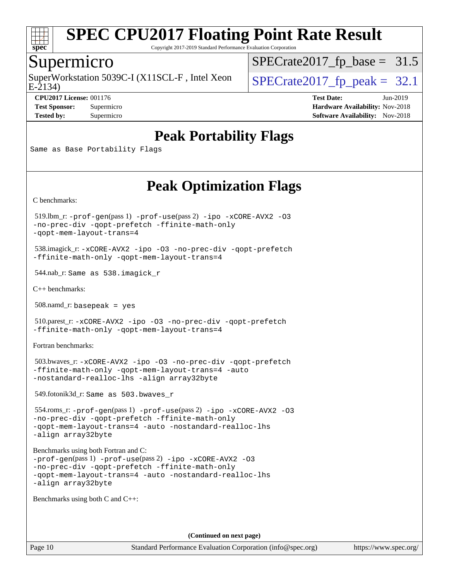

Copyright 2017-2019 Standard Performance Evaluation Corporation

#### Supermicro

SuperWorkstation 5039C-I (X11SCL-F, Intel Xeon  $\big|$  [SPECrate2017\\_fp\\_peak =](http://www.spec.org/auto/cpu2017/Docs/result-fields.html#SPECrate2017fppeak) 32.1

 $SPECrate2017_fp\_base = 31.5$ 

E-2134)

**[Tested by:](http://www.spec.org/auto/cpu2017/Docs/result-fields.html#Testedby)** Supermicro **Supermicro [Software Availability:](http://www.spec.org/auto/cpu2017/Docs/result-fields.html#SoftwareAvailability)** Nov-2018

**[CPU2017 License:](http://www.spec.org/auto/cpu2017/Docs/result-fields.html#CPU2017License)** 001176 **[Test Date:](http://www.spec.org/auto/cpu2017/Docs/result-fields.html#TestDate)** Jun-2019 **[Test Sponsor:](http://www.spec.org/auto/cpu2017/Docs/result-fields.html#TestSponsor)** Supermicro **[Hardware Availability:](http://www.spec.org/auto/cpu2017/Docs/result-fields.html#HardwareAvailability)** Nov-2018

## **[Peak Portability Flags](http://www.spec.org/auto/cpu2017/Docs/result-fields.html#PeakPortabilityFlags)**

Same as Base Portability Flags

## **[Peak Optimization Flags](http://www.spec.org/auto/cpu2017/Docs/result-fields.html#PeakOptimizationFlags)**

[C benchmarks](http://www.spec.org/auto/cpu2017/Docs/result-fields.html#Cbenchmarks):

 519.lbm\_r: [-prof-gen](http://www.spec.org/cpu2017/results/res2019q3/cpu2017-20190625-15867.flags.html#user_peakPASS1_CFLAGSPASS1_LDFLAGS519_lbm_r_prof_gen_5aa4926d6013ddb2a31985c654b3eb18169fc0c6952a63635c234f711e6e63dd76e94ad52365559451ec499a2cdb89e4dc58ba4c67ef54ca681ffbe1461d6b36)(pass 1) [-prof-use](http://www.spec.org/cpu2017/results/res2019q3/cpu2017-20190625-15867.flags.html#user_peakPASS2_CFLAGSPASS2_LDFLAGS519_lbm_r_prof_use_1a21ceae95f36a2b53c25747139a6c16ca95bd9def2a207b4f0849963b97e94f5260e30a0c64f4bb623698870e679ca08317ef8150905d41bd88c6f78df73f19)(pass 2) [-ipo](http://www.spec.org/cpu2017/results/res2019q3/cpu2017-20190625-15867.flags.html#user_peakPASS1_COPTIMIZEPASS2_COPTIMIZE519_lbm_r_f-ipo) [-xCORE-AVX2](http://www.spec.org/cpu2017/results/res2019q3/cpu2017-20190625-15867.flags.html#user_peakPASS2_COPTIMIZE519_lbm_r_f-xCORE-AVX2) [-O3](http://www.spec.org/cpu2017/results/res2019q3/cpu2017-20190625-15867.flags.html#user_peakPASS1_COPTIMIZEPASS2_COPTIMIZE519_lbm_r_f-O3) [-no-prec-div](http://www.spec.org/cpu2017/results/res2019q3/cpu2017-20190625-15867.flags.html#user_peakPASS1_COPTIMIZEPASS2_COPTIMIZE519_lbm_r_f-no-prec-div) [-qopt-prefetch](http://www.spec.org/cpu2017/results/res2019q3/cpu2017-20190625-15867.flags.html#user_peakPASS1_COPTIMIZEPASS2_COPTIMIZE519_lbm_r_f-qopt-prefetch) [-ffinite-math-only](http://www.spec.org/cpu2017/results/res2019q3/cpu2017-20190625-15867.flags.html#user_peakPASS1_COPTIMIZEPASS2_COPTIMIZE519_lbm_r_f_finite_math_only_cb91587bd2077682c4b38af759c288ed7c732db004271a9512da14a4f8007909a5f1427ecbf1a0fb78ff2a814402c6114ac565ca162485bbcae155b5e4258871) [-qopt-mem-layout-trans=4](http://www.spec.org/cpu2017/results/res2019q3/cpu2017-20190625-15867.flags.html#user_peakPASS1_COPTIMIZEPASS2_COPTIMIZE519_lbm_r_f-qopt-mem-layout-trans_fa39e755916c150a61361b7846f310bcdf6f04e385ef281cadf3647acec3f0ae266d1a1d22d972a7087a248fd4e6ca390a3634700869573d231a252c784941a8)

 538.imagick\_r: [-xCORE-AVX2](http://www.spec.org/cpu2017/results/res2019q3/cpu2017-20190625-15867.flags.html#user_peakCOPTIMIZE538_imagick_r_f-xCORE-AVX2) [-ipo](http://www.spec.org/cpu2017/results/res2019q3/cpu2017-20190625-15867.flags.html#user_peakCOPTIMIZE538_imagick_r_f-ipo) [-O3](http://www.spec.org/cpu2017/results/res2019q3/cpu2017-20190625-15867.flags.html#user_peakCOPTIMIZE538_imagick_r_f-O3) [-no-prec-div](http://www.spec.org/cpu2017/results/res2019q3/cpu2017-20190625-15867.flags.html#user_peakCOPTIMIZE538_imagick_r_f-no-prec-div) [-qopt-prefetch](http://www.spec.org/cpu2017/results/res2019q3/cpu2017-20190625-15867.flags.html#user_peakCOPTIMIZE538_imagick_r_f-qopt-prefetch) [-ffinite-math-only](http://www.spec.org/cpu2017/results/res2019q3/cpu2017-20190625-15867.flags.html#user_peakCOPTIMIZE538_imagick_r_f_finite_math_only_cb91587bd2077682c4b38af759c288ed7c732db004271a9512da14a4f8007909a5f1427ecbf1a0fb78ff2a814402c6114ac565ca162485bbcae155b5e4258871) [-qopt-mem-layout-trans=4](http://www.spec.org/cpu2017/results/res2019q3/cpu2017-20190625-15867.flags.html#user_peakCOPTIMIZE538_imagick_r_f-qopt-mem-layout-trans_fa39e755916c150a61361b7846f310bcdf6f04e385ef281cadf3647acec3f0ae266d1a1d22d972a7087a248fd4e6ca390a3634700869573d231a252c784941a8)

544.nab\_r: Same as 538.imagick\_r

[C++ benchmarks:](http://www.spec.org/auto/cpu2017/Docs/result-fields.html#CXXbenchmarks)

508.namd\_r: basepeak = yes

 510.parest\_r: [-xCORE-AVX2](http://www.spec.org/cpu2017/results/res2019q3/cpu2017-20190625-15867.flags.html#user_peakCXXOPTIMIZE510_parest_r_f-xCORE-AVX2) [-ipo](http://www.spec.org/cpu2017/results/res2019q3/cpu2017-20190625-15867.flags.html#user_peakCXXOPTIMIZE510_parest_r_f-ipo) [-O3](http://www.spec.org/cpu2017/results/res2019q3/cpu2017-20190625-15867.flags.html#user_peakCXXOPTIMIZE510_parest_r_f-O3) [-no-prec-div](http://www.spec.org/cpu2017/results/res2019q3/cpu2017-20190625-15867.flags.html#user_peakCXXOPTIMIZE510_parest_r_f-no-prec-div) [-qopt-prefetch](http://www.spec.org/cpu2017/results/res2019q3/cpu2017-20190625-15867.flags.html#user_peakCXXOPTIMIZE510_parest_r_f-qopt-prefetch) [-ffinite-math-only](http://www.spec.org/cpu2017/results/res2019q3/cpu2017-20190625-15867.flags.html#user_peakCXXOPTIMIZE510_parest_r_f_finite_math_only_cb91587bd2077682c4b38af759c288ed7c732db004271a9512da14a4f8007909a5f1427ecbf1a0fb78ff2a814402c6114ac565ca162485bbcae155b5e4258871) [-qopt-mem-layout-trans=4](http://www.spec.org/cpu2017/results/res2019q3/cpu2017-20190625-15867.flags.html#user_peakCXXOPTIMIZE510_parest_r_f-qopt-mem-layout-trans_fa39e755916c150a61361b7846f310bcdf6f04e385ef281cadf3647acec3f0ae266d1a1d22d972a7087a248fd4e6ca390a3634700869573d231a252c784941a8)

[Fortran benchmarks](http://www.spec.org/auto/cpu2017/Docs/result-fields.html#Fortranbenchmarks):

 503.bwaves\_r: [-xCORE-AVX2](http://www.spec.org/cpu2017/results/res2019q3/cpu2017-20190625-15867.flags.html#user_peakFOPTIMIZE503_bwaves_r_f-xCORE-AVX2) [-ipo](http://www.spec.org/cpu2017/results/res2019q3/cpu2017-20190625-15867.flags.html#user_peakFOPTIMIZE503_bwaves_r_f-ipo) [-O3](http://www.spec.org/cpu2017/results/res2019q3/cpu2017-20190625-15867.flags.html#user_peakFOPTIMIZE503_bwaves_r_f-O3) [-no-prec-div](http://www.spec.org/cpu2017/results/res2019q3/cpu2017-20190625-15867.flags.html#user_peakFOPTIMIZE503_bwaves_r_f-no-prec-div) [-qopt-prefetch](http://www.spec.org/cpu2017/results/res2019q3/cpu2017-20190625-15867.flags.html#user_peakFOPTIMIZE503_bwaves_r_f-qopt-prefetch) [-ffinite-math-only](http://www.spec.org/cpu2017/results/res2019q3/cpu2017-20190625-15867.flags.html#user_peakFOPTIMIZE503_bwaves_r_f_finite_math_only_cb91587bd2077682c4b38af759c288ed7c732db004271a9512da14a4f8007909a5f1427ecbf1a0fb78ff2a814402c6114ac565ca162485bbcae155b5e4258871) [-qopt-mem-layout-trans=4](http://www.spec.org/cpu2017/results/res2019q3/cpu2017-20190625-15867.flags.html#user_peakFOPTIMIZE503_bwaves_r_f-qopt-mem-layout-trans_fa39e755916c150a61361b7846f310bcdf6f04e385ef281cadf3647acec3f0ae266d1a1d22d972a7087a248fd4e6ca390a3634700869573d231a252c784941a8) [-auto](http://www.spec.org/cpu2017/results/res2019q3/cpu2017-20190625-15867.flags.html#user_peakFOPTIMIZE503_bwaves_r_f-auto) [-nostandard-realloc-lhs](http://www.spec.org/cpu2017/results/res2019q3/cpu2017-20190625-15867.flags.html#user_peakEXTRA_FOPTIMIZE503_bwaves_r_f_2003_std_realloc_82b4557e90729c0f113870c07e44d33d6f5a304b4f63d4c15d2d0f1fab99f5daaed73bdb9275d9ae411527f28b936061aa8b9c8f2d63842963b95c9dd6426b8a) [-align array32byte](http://www.spec.org/cpu2017/results/res2019q3/cpu2017-20190625-15867.flags.html#user_peakEXTRA_FOPTIMIZE503_bwaves_r_align_array32byte_b982fe038af199962ba9a80c053b8342c548c85b40b8e86eb3cc33dee0d7986a4af373ac2d51c3f7cf710a18d62fdce2948f201cd044323541f22fc0fffc51b6)

549.fotonik3d\_r: Same as 503.bwaves\_r

 554.roms\_r: [-prof-gen](http://www.spec.org/cpu2017/results/res2019q3/cpu2017-20190625-15867.flags.html#user_peakPASS1_FFLAGSPASS1_LDFLAGS554_roms_r_prof_gen_5aa4926d6013ddb2a31985c654b3eb18169fc0c6952a63635c234f711e6e63dd76e94ad52365559451ec499a2cdb89e4dc58ba4c67ef54ca681ffbe1461d6b36)(pass 1) [-prof-use](http://www.spec.org/cpu2017/results/res2019q3/cpu2017-20190625-15867.flags.html#user_peakPASS2_FFLAGSPASS2_LDFLAGS554_roms_r_prof_use_1a21ceae95f36a2b53c25747139a6c16ca95bd9def2a207b4f0849963b97e94f5260e30a0c64f4bb623698870e679ca08317ef8150905d41bd88c6f78df73f19)(pass 2) [-ipo](http://www.spec.org/cpu2017/results/res2019q3/cpu2017-20190625-15867.flags.html#user_peakPASS1_FOPTIMIZEPASS2_FOPTIMIZE554_roms_r_f-ipo) [-xCORE-AVX2](http://www.spec.org/cpu2017/results/res2019q3/cpu2017-20190625-15867.flags.html#user_peakPASS2_FOPTIMIZE554_roms_r_f-xCORE-AVX2) [-O3](http://www.spec.org/cpu2017/results/res2019q3/cpu2017-20190625-15867.flags.html#user_peakPASS1_FOPTIMIZEPASS2_FOPTIMIZE554_roms_r_f-O3) [-no-prec-div](http://www.spec.org/cpu2017/results/res2019q3/cpu2017-20190625-15867.flags.html#user_peakPASS1_FOPTIMIZEPASS2_FOPTIMIZE554_roms_r_f-no-prec-div) [-qopt-prefetch](http://www.spec.org/cpu2017/results/res2019q3/cpu2017-20190625-15867.flags.html#user_peakPASS1_FOPTIMIZEPASS2_FOPTIMIZE554_roms_r_f-qopt-prefetch) [-ffinite-math-only](http://www.spec.org/cpu2017/results/res2019q3/cpu2017-20190625-15867.flags.html#user_peakPASS1_FOPTIMIZEPASS2_FOPTIMIZE554_roms_r_f_finite_math_only_cb91587bd2077682c4b38af759c288ed7c732db004271a9512da14a4f8007909a5f1427ecbf1a0fb78ff2a814402c6114ac565ca162485bbcae155b5e4258871) [-qopt-mem-layout-trans=4](http://www.spec.org/cpu2017/results/res2019q3/cpu2017-20190625-15867.flags.html#user_peakPASS1_FOPTIMIZEPASS2_FOPTIMIZE554_roms_r_f-qopt-mem-layout-trans_fa39e755916c150a61361b7846f310bcdf6f04e385ef281cadf3647acec3f0ae266d1a1d22d972a7087a248fd4e6ca390a3634700869573d231a252c784941a8) [-auto](http://www.spec.org/cpu2017/results/res2019q3/cpu2017-20190625-15867.flags.html#user_peakPASS2_FOPTIMIZE554_roms_r_f-auto) [-nostandard-realloc-lhs](http://www.spec.org/cpu2017/results/res2019q3/cpu2017-20190625-15867.flags.html#user_peakEXTRA_FOPTIMIZE554_roms_r_f_2003_std_realloc_82b4557e90729c0f113870c07e44d33d6f5a304b4f63d4c15d2d0f1fab99f5daaed73bdb9275d9ae411527f28b936061aa8b9c8f2d63842963b95c9dd6426b8a) [-align array32byte](http://www.spec.org/cpu2017/results/res2019q3/cpu2017-20190625-15867.flags.html#user_peakEXTRA_FOPTIMIZE554_roms_r_align_array32byte_b982fe038af199962ba9a80c053b8342c548c85b40b8e86eb3cc33dee0d7986a4af373ac2d51c3f7cf710a18d62fdce2948f201cd044323541f22fc0fffc51b6)

[Benchmarks using both Fortran and C](http://www.spec.org/auto/cpu2017/Docs/result-fields.html#BenchmarksusingbothFortranandC):

```
-prof-gen(pass 1) -prof-use(pass 2) -ipo -xCORE-AVX2 -O3
-no-prec-div -qopt-prefetch -ffinite-math-only
-qopt-mem-layout-trans=4 -auto -nostandard-realloc-lhs
-align array32byte
```
[Benchmarks using both C and C++](http://www.spec.org/auto/cpu2017/Docs/result-fields.html#BenchmarksusingbothCandCXX):

**(Continued on next page)**